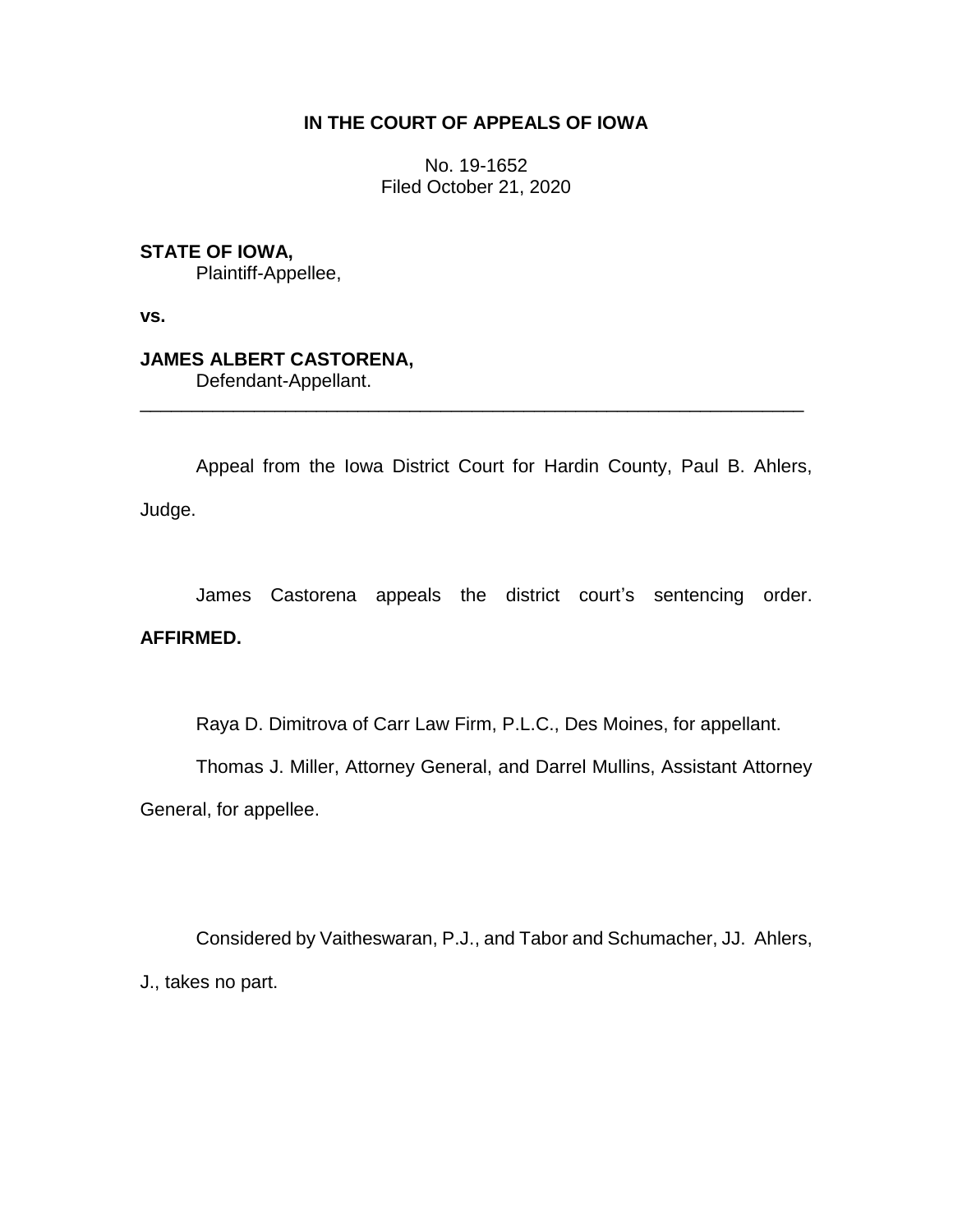### **IN THE COURT OF APPEALS OF IOWA**

No. 19-1652 Filed October 21, 2020

**STATE OF IOWA,**

Plaintiff-Appellee,

**vs.**

# **JAMES ALBERT CASTORENA,**

Defendant-Appellant.

Appeal from the Iowa District Court for Hardin County, Paul B. Ahlers, Judge.

\_\_\_\_\_\_\_\_\_\_\_\_\_\_\_\_\_\_\_\_\_\_\_\_\_\_\_\_\_\_\_\_\_\_\_\_\_\_\_\_\_\_\_\_\_\_\_\_\_\_\_\_\_\_\_\_\_\_\_\_\_\_\_\_

James Castorena appeals the district court's sentencing order.

## **AFFIRMED.**

Raya D. Dimitrova of Carr Law Firm, P.L.C., Des Moines, for appellant.

Thomas J. Miller, Attorney General, and Darrel Mullins, Assistant Attorney

General, for appellee.

Considered by Vaitheswaran, P.J., and Tabor and Schumacher, JJ. Ahlers, J., takes no part.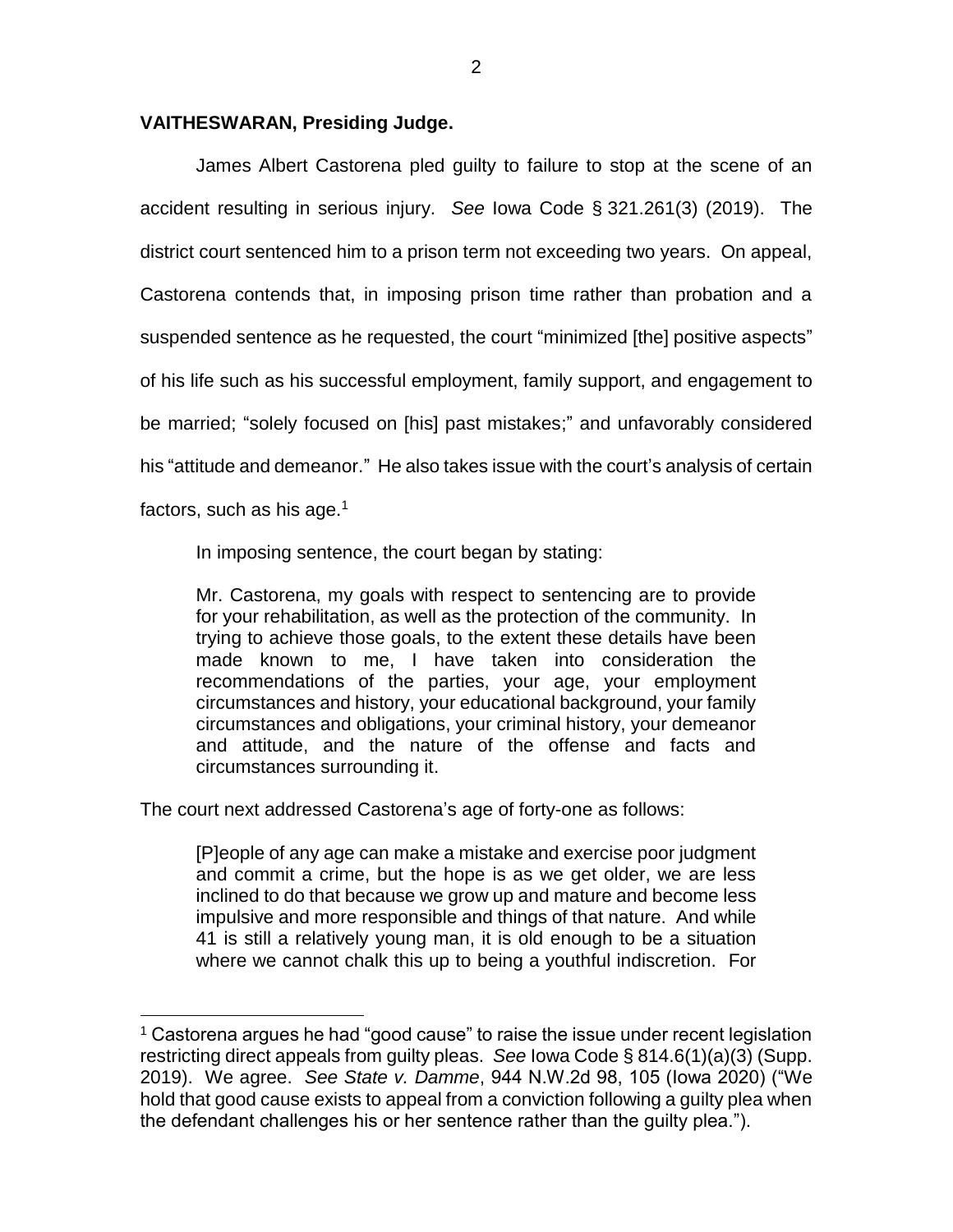#### **VAITHESWARAN, Presiding Judge.**

James Albert Castorena pled guilty to failure to stop at the scene of an accident resulting in serious injury. *See* Iowa Code § 321.261(3) (2019). The district court sentenced him to a prison term not exceeding two years. On appeal, Castorena contends that, in imposing prison time rather than probation and a suspended sentence as he requested, the court "minimized [the] positive aspects" of his life such as his successful employment, family support, and engagement to be married; "solely focused on [his] past mistakes;" and unfavorably considered his "attitude and demeanor." He also takes issue with the court's analysis of certain factors, such as his age. $1$ 

In imposing sentence, the court began by stating:

Mr. Castorena, my goals with respect to sentencing are to provide for your rehabilitation, as well as the protection of the community. In trying to achieve those goals, to the extent these details have been made known to me, I have taken into consideration the recommendations of the parties, your age, your employment circumstances and history, your educational background, your family circumstances and obligations, your criminal history, your demeanor and attitude, and the nature of the offense and facts and circumstances surrounding it.

The court next addressed Castorena's age of forty-one as follows:

 $\overline{a}$ 

[P]eople of any age can make a mistake and exercise poor judgment and commit a crime, but the hope is as we get older, we are less inclined to do that because we grow up and mature and become less impulsive and more responsible and things of that nature. And while 41 is still a relatively young man, it is old enough to be a situation where we cannot chalk this up to being a youthful indiscretion. For

<sup>&</sup>lt;sup>1</sup> Castorena argues he had "good cause" to raise the issue under recent legislation restricting direct appeals from guilty pleas. *See* Iowa Code § 814.6(1)(a)(3) (Supp. 2019). We agree. *See State v. Damme*, 944 N.W.2d 98, 105 (Iowa 2020) ("We hold that good cause exists to appeal from a conviction following a guilty plea when the defendant challenges his or her sentence rather than the guilty plea.").